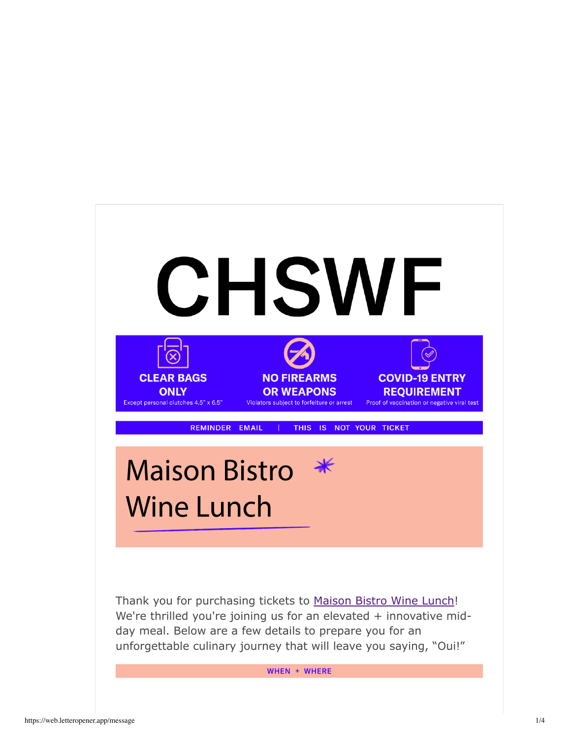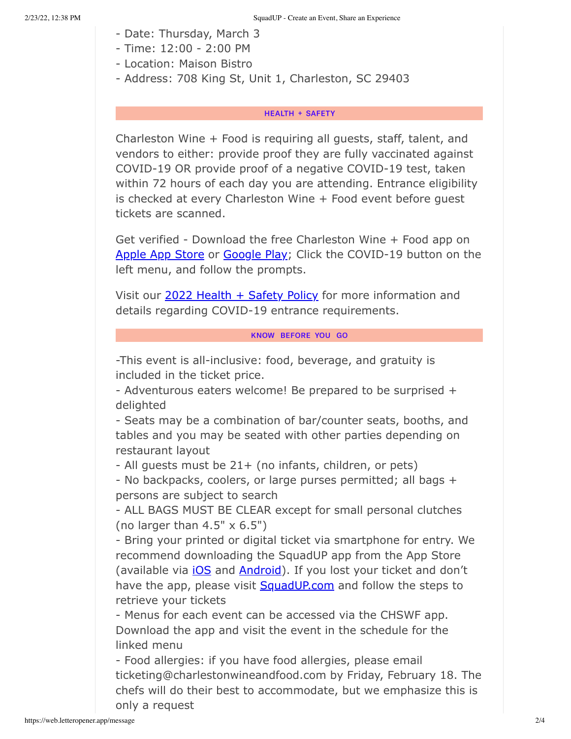- Date: Thursday, March 3
- Time: 12:00 2:00 PM
- Location: Maison Bistro
- Address: 708 King St, Unit 1, Charleston, SC 29403

### **HEALTH + SAFETY**

Charleston Wine + Food is requiring all guests, staff, talent, and vendors to either: provide proof they are fully vaccinated against COVID-19 OR provide proof of a negative COVID-19 test, taken within 72 hours of each day you are attending. Entrance eligibility is checked at every Charleston Wine + Food event before guest tickets are scanned.

Get verified - Download the free Charleston Wine + Food app on Apple App Store or Google Play; Click the COVID-19 button on the left menu, and follow the prompts.

Visit our 2022 Health + Safety Policy for more information and details regarding COVID-19 entrance requirements.

#### KNOW BEFORE YOU GO

-This event is all-inclusive: food, beverage, and gratuity is included in the ticket price.

- Adventurous eaters welcome! Be prepared to be surprised + delighted

- Seats may be a combination of bar/counter seats, booths, and tables and you may be seated with other parties depending on restaurant layout

- All guests must be 21+ (no infants, children, or pets)

- No backpacks, coolers, or large purses permitted; all bags + persons are subject to search

- ALL BAGS MUST BE CLEAR except for small personal clutches (no larger than  $4.5" \times 6.5"$ )

- Bring your printed or digital ticket via smartphone for entry. We recommend downloading the SquadUP app from the App Store (available via *iOS* and **Android**). If you lost your ticket and don't have the app, please visit **SquadUP.com** and follow the steps to retrieve your tickets

- Menus for each event can be accessed via the CHSWF app. Download the app and visit the event in the schedule for the linked menu

- Food allergies: if you have food allergies, please email ticketing@charlestonwineandfood.com by Friday, February 18. The chefs will do their best to accommodate, but we emphasize this is only a request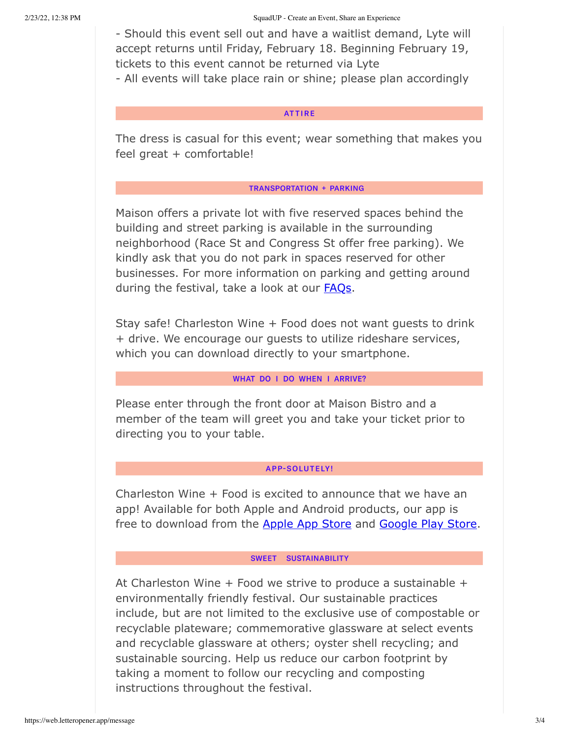- Should this event sell out and have a waitlist demand, Lyte will accept returns until Friday, February 18. Beginning February 19, tickets to this event cannot be returned via Lyte - All events will take place rain or shine; please plan accordingly

## **ATTIRE**

The dress is casual for this event; wear something that makes you feel great + comfortable!

## **TRANSPORTATION + PARKING**

Maison offers a private lot with five reserved spaces behind the building and street parking is available in the surrounding neighborhood (Race St and Congress St offer free parking). We kindly ask that you do not park in spaces reserved for other businesses. For more information on parking and getting around during the festival, take a look at our **FAQs**.

Stay safe! Charleston Wine + Food does not want guests to drink + drive. We encourage our guests to utilize rideshare services, which you can download directly to your smartphone.

# WHAT DO I DO WHEN I ARRIVE?

Please enter through the front door at Maison Bistro and a member of the team will greet you and take your ticket prior to directing you to your table.

# **APP-SOLUTELY!**

Charleston Wine + Food is excited to announce that we have an app! Available for both Apple and Android products, our app is free to download from the Apple App Store and Google Play Store.

## SWEET SUSTAINABILITY

At Charleston Wine  $+$  Food we strive to produce a sustainable  $+$ environmentally friendly festival. Our sustainable practices include, but are not limited to the exclusive use of compostable or recyclable plateware; commemorative glassware at select events and recyclable glassware at others; oyster shell recycling; and sustainable sourcing. Help us reduce our carbon footprint by taking a moment to follow our recycling and composting instructions throughout the festival.